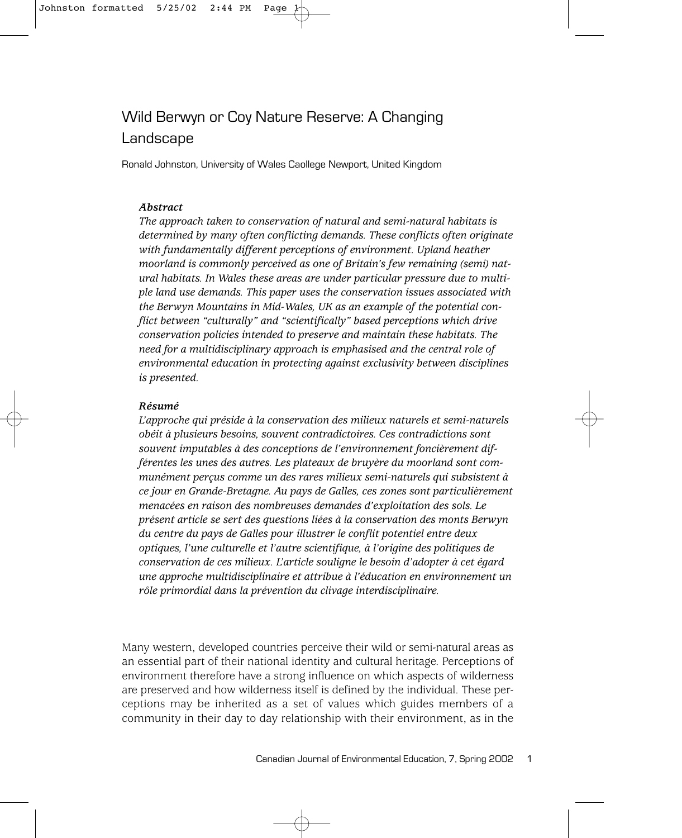# Wild Berwyn or Coy Nature Reserve: A Changing Landscape

Ronald Johnston, University of Wales Caollege Newport, United Kingdom

#### *Abstract*

*The approach taken to conservation of natural and semi-natural habitats is determined by many often conflicting demands. These conflicts often originate with fundamentally different perceptions of environment. Upland heather moorland is commonly perceived as one of Britain's few remaining (semi) natural habitats. In Wales these areas are under particular pressure due to multiple land use demands. This paper uses the conservation issues associated with the Berwyn Mountains in Mid-Wales, UK as an example of the potential conflict between "culturally" and "scientifically" based perceptions which drive conservation policies intended to preserve and maintain these habitats. The need for a multidisciplinary approach is emphasised and the central role of environmental education in protecting against exclusivity between disciplines is presented.* 

#### *Résumé*

*L'approche qui préside à la conservation des milieux naturels et semi-naturels obéit à plusieurs besoins, souvent contradictoires. Ces contradictions sont souvent imputables à des conceptions de l'environnement foncièrement différentes les unes des autres. Les plateaux de bruyère du moorland sont communément perçus comme un des rares milieux semi-naturels qui subsistent à ce jour en Grande-Bretagne. Au pays de Galles, ces zones sont particulièrement menacées en raison des nombreuses demandes d'exploitation des sols. Le présent article se sert des questions liées à la conservation des monts Berwyn du centre du pays de Galles pour illustrer le conflit potentiel entre deux optiques, l'une culturelle et l'autre scientifique, à l'origine des politiques de conservation de ces milieux. L'article souligne le besoin d'adopter à cet égard une approche multidisciplinaire et attribue à l'éducation en environnement un rôle primordial dans la prévention du clivage interdisciplinaire.*

Many western, developed countries perceive their wild or semi-natural areas as an essential part of their national identity and cultural heritage. Perceptions of environment therefore have a strong influence on which aspects of wilderness are preserved and how wilderness itself is defined by the individual. These perceptions may be inherited as a set of values which guides members of a community in their day to day relationship with their environment, as in the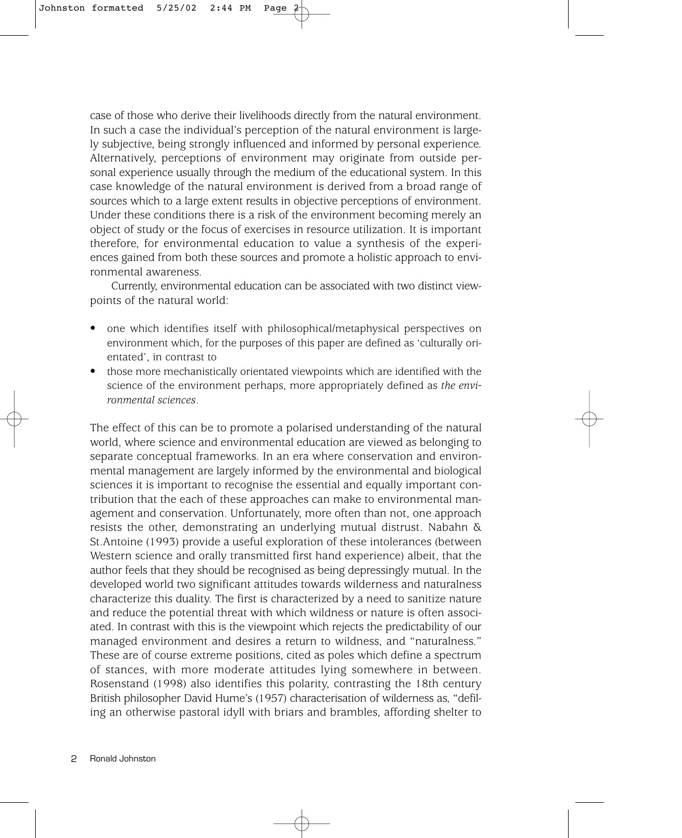case of those who derive their livelihoods directly from the natural environment. In such a case the individual's perception of the natural environment is largely subjective, being strongly influenced and informed by personal experience. Alternatively, perceptions of environment may originate from outside personal experience usually through the medium of the educational system. In this case knowledge of the natural environment is derived from a broad range of sources which to a large extent results in objective perceptions of environment. Under these conditions there is a risk of the environment becoming merely an object of study or the focus of exercises in resource utilization. It is important therefore, for environmental education to value a synthesis of the experiences gained from both these sources and promote a holistic approach to environmental awareness.

Currently, environmental education can be associated with two distinct viewpoints of the natural world:

- one which identifies itself with philosophical/metaphysical perspectives on environment which, for the purposes of this paper are defined as 'culturally orientated', in contrast to
- those more mechanistically orientated viewpoints which are identified with the science of the environment perhaps, more appropriately defined as *the environmental sciences*.

The effect of this can be to promote a polarised understanding of the natural world, where science and environmental education are viewed as belonging to separate conceptual frameworks. In an era where conservation and environmental management are largely informed by the environmental and biological sciences it is important to recognise the essential and equally important contribution that the each of these approaches can make to environmental management and conservation. Unfortunately, more often than not, one approach resists the other, demonstrating an underlying mutual distrust. Nabahn & St.Antoine (1993) provide a useful exploration of these intolerances (between Western science and orally transmitted first hand experience) albeit, that the author feels that they should be recognised as being depressingly mutual. In the developed world two significant attitudes towards wilderness and naturalness characterize this duality. The first is characterized by a need to sanitize nature and reduce the potential threat with which wildness or nature is often associated. In contrast with this is the viewpoint which rejects the predictability of our managed environment and desires a return to wildness, and "naturalness." These are of course extreme positions, cited as poles which define a spectrum of stances, with more moderate attitudes lying somewhere in between. Rosenstand (1998) also identifies this polarity, contrasting the 18th century British philosopher David Hume's (1957) characterisation of wilderness as, "defiling an otherwise pastoral idyll with briars and brambles, affording shelter to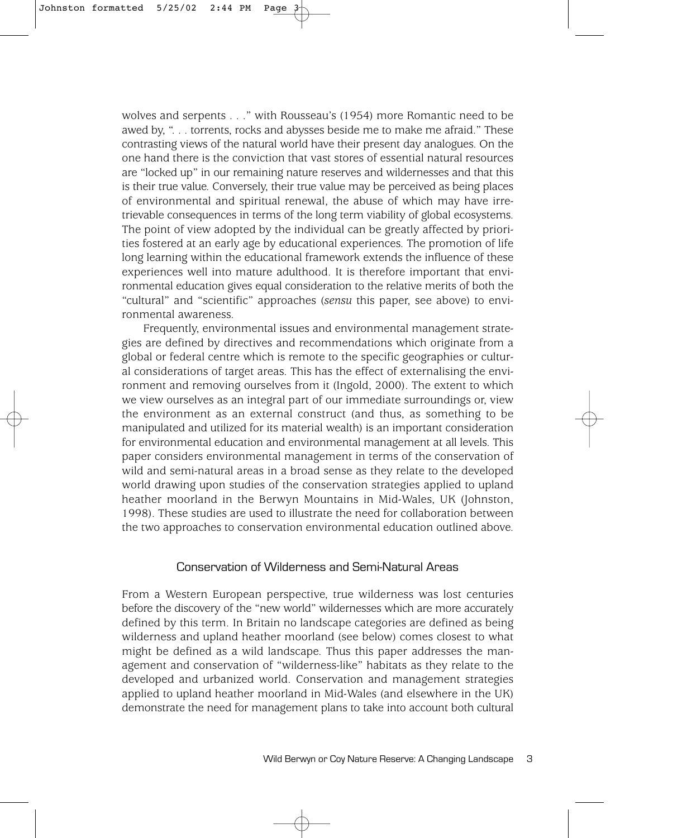wolves and serpents . . ." with Rousseau's (1954) more Romantic need to be awed by, ". . . torrents, rocks and abysses beside me to make me afraid." These contrasting views of the natural world have their present day analogues. On the one hand there is the conviction that vast stores of essential natural resources are "locked up" in our remaining nature reserves and wildernesses and that this is their true value. Conversely, their true value may be perceived as being places of environmental and spiritual renewal, the abuse of which may have irretrievable consequences in terms of the long term viability of global ecosystems. The point of view adopted by the individual can be greatly affected by priorities fostered at an early age by educational experiences. The promotion of life long learning within the educational framework extends the influence of these experiences well into mature adulthood. It is therefore important that environmental education gives equal consideration to the relative merits of both the "cultural" and "scientific" approaches (*sensu* this paper, see above) to environmental awareness.

Frequently, environmental issues and environmental management strategies are defined by directives and recommendations which originate from a global or federal centre which is remote to the specific geographies or cultural considerations of target areas. This has the effect of externalising the environment and removing ourselves from it (Ingold, 2000). The extent to which we view ourselves as an integral part of our immediate surroundings or, view the environment as an external construct (and thus, as something to be manipulated and utilized for its material wealth) is an important consideration for environmental education and environmental management at all levels. This paper considers environmental management in terms of the conservation of wild and semi-natural areas in a broad sense as they relate to the developed world drawing upon studies of the conservation strategies applied to upland heather moorland in the Berwyn Mountains in Mid-Wales, UK (Johnston, 1998). These studies are used to illustrate the need for collaboration between the two approaches to conservation environmental education outlined above.

#### Conservation of Wilderness and Semi-Natural Areas

From a Western European perspective, true wilderness was lost centuries before the discovery of the "new world" wildernesses which are more accurately defined by this term. In Britain no landscape categories are defined as being wilderness and upland heather moorland (see below) comes closest to what might be defined as a wild landscape. Thus this paper addresses the management and conservation of "wilderness-like" habitats as they relate to the developed and urbanized world. Conservation and management strategies applied to upland heather moorland in Mid-Wales (and elsewhere in the UK) demonstrate the need for management plans to take into account both cultural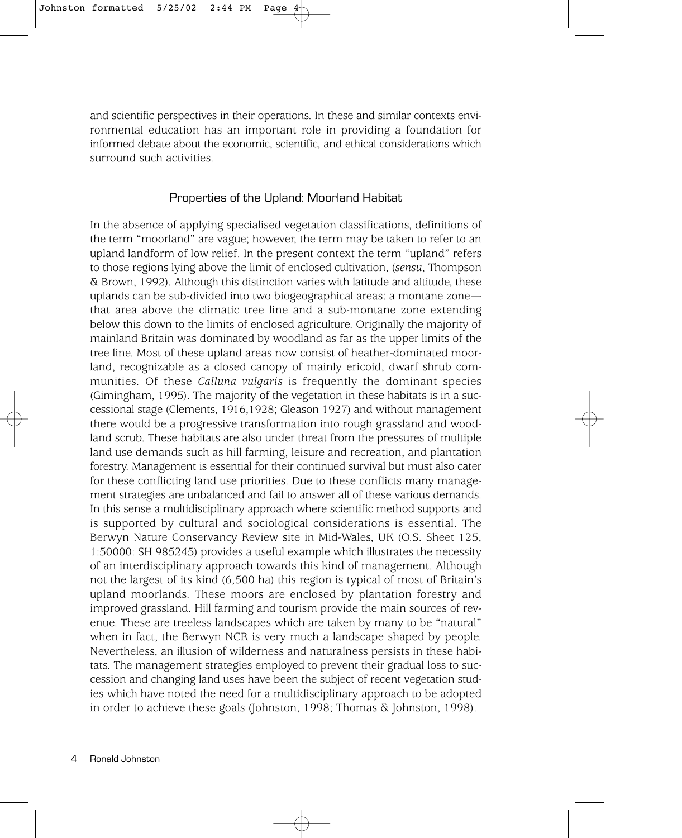and scientific perspectives in their operations. In these and similar contexts environmental education has an important role in providing a foundation for informed debate about the economic, scientific, and ethical considerations which surround such activities.

## Properties of the Upland: Moorland Habitat

In the absence of applying specialised vegetation classifications, definitions of the term "moorland" are vague; however, the term may be taken to refer to an upland landform of low relief. In the present context the term "upland" refers to those regions lying above the limit of enclosed cultivation, (*sensu*, Thompson & Brown, 1992). Although this distinction varies with latitude and altitude, these uplands can be sub-divided into two biogeographical areas: a montane zone that area above the climatic tree line and a sub-montane zone extending below this down to the limits of enclosed agriculture. Originally the majority of mainland Britain was dominated by woodland as far as the upper limits of the tree line. Most of these upland areas now consist of heather-dominated moorland, recognizable as a closed canopy of mainly ericoid, dwarf shrub communities. Of these *Calluna vulgaris* is frequently the dominant species (Gimingham, 1995). The majority of the vegetation in these habitats is in a successional stage (Clements, 1916,1928; Gleason 1927) and without management there would be a progressive transformation into rough grassland and woodland scrub. These habitats are also under threat from the pressures of multiple land use demands such as hill farming, leisure and recreation, and plantation forestry. Management is essential for their continued survival but must also cater for these conflicting land use priorities. Due to these conflicts many management strategies are unbalanced and fail to answer all of these various demands. In this sense a multidisciplinary approach where scientific method supports and is supported by cultural and sociological considerations is essential. The Berwyn Nature Conservancy Review site in Mid-Wales, UK (O.S. Sheet 125, 1:50000: SH 985245) provides a useful example which illustrates the necessity of an interdisciplinary approach towards this kind of management. Although not the largest of its kind (6,500 ha) this region is typical of most of Britain's upland moorlands. These moors are enclosed by plantation forestry and improved grassland. Hill farming and tourism provide the main sources of revenue. These are treeless landscapes which are taken by many to be "natural" when in fact, the Berwyn NCR is very much a landscape shaped by people. Nevertheless, an illusion of wilderness and naturalness persists in these habitats. The management strategies employed to prevent their gradual loss to succession and changing land uses have been the subject of recent vegetation studies which have noted the need for a multidisciplinary approach to be adopted in order to achieve these goals (Johnston, 1998; Thomas & Johnston, 1998).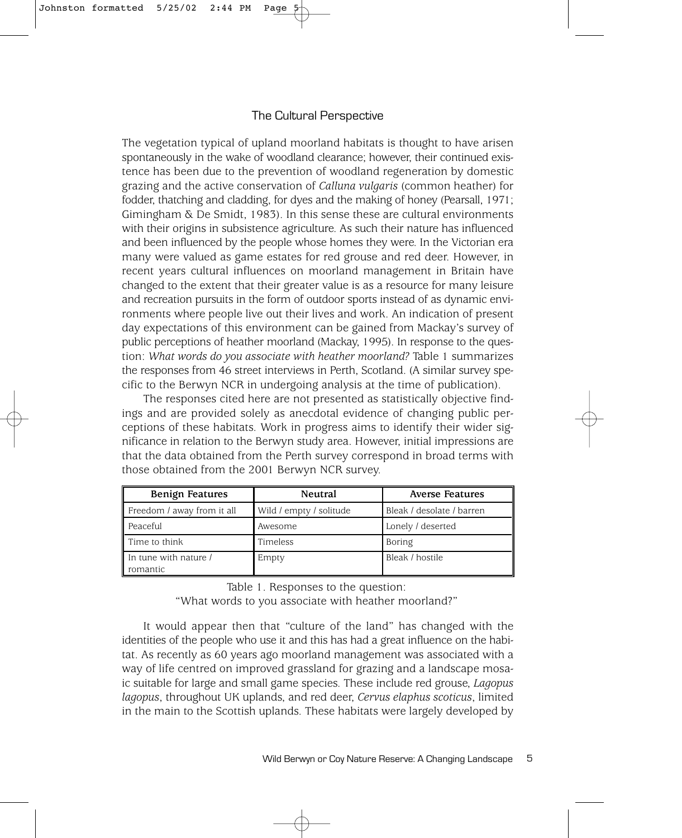# The Cultural Perspective

The vegetation typical of upland moorland habitats is thought to have arisen spontaneously in the wake of woodland clearance; however, their continued existence has been due to the prevention of woodland regeneration by domestic grazing and the active conservation of *Calluna vulgaris* (common heather) for fodder, thatching and cladding, for dyes and the making of honey (Pearsall, 1971; Gimingham & De Smidt, 1983). In this sense these are cultural environments with their origins in subsistence agriculture. As such their nature has influenced and been influenced by the people whose homes they were. In the Victorian era many were valued as game estates for red grouse and red deer. However, in recent years cultural influences on moorland management in Britain have changed to the extent that their greater value is as a resource for many leisure and recreation pursuits in the form of outdoor sports instead of as dynamic environments where people live out their lives and work. An indication of present day expectations of this environment can be gained from Mackay's survey of public perceptions of heather moorland (Mackay, 1995). In response to the question: *What words do you associate with heather moorland?* Table 1 summarizes the responses from 46 street interviews in Perth, Scotland. (A similar survey specific to the Berwyn NCR in undergoing analysis at the time of publication).

The responses cited here are not presented as statistically objective findings and are provided solely as anecdotal evidence of changing public perceptions of these habitats. Work in progress aims to identify their wider significance in relation to the Berwyn study area. However, initial impressions are that the data obtained from the Perth survey correspond in broad terms with those obtained from the 2001 Berwyn NCR survey.

| Benign Features                   | Neutral                 | <b>Averse Features</b>    |
|-----------------------------------|-------------------------|---------------------------|
| Freedom / away from it all        | Wild / empty / solitude | Bleak / desolate / barren |
| $\parallel$ Peaceful              | Awesome                 | Lonely / deserted         |
| Time to think                     | Timeless                | Boring                    |
| In tune with nature /<br>romantic | Empty                   | Bleak / hostile           |

Table 1. Responses to the question:

"What words to you associate with heather moorland?"

It would appear then that "culture of the land" has changed with the identities of the people who use it and this has had a great influence on the habitat. As recently as 60 years ago moorland management was associated with a way of life centred on improved grassland for grazing and a landscape mosaic suitable for large and small game species. These include red grouse, *Lagopus lagopus*, throughout UK uplands, and red deer, *Cervus elaphus scoticus*, limited in the main to the Scottish uplands. These habitats were largely developed by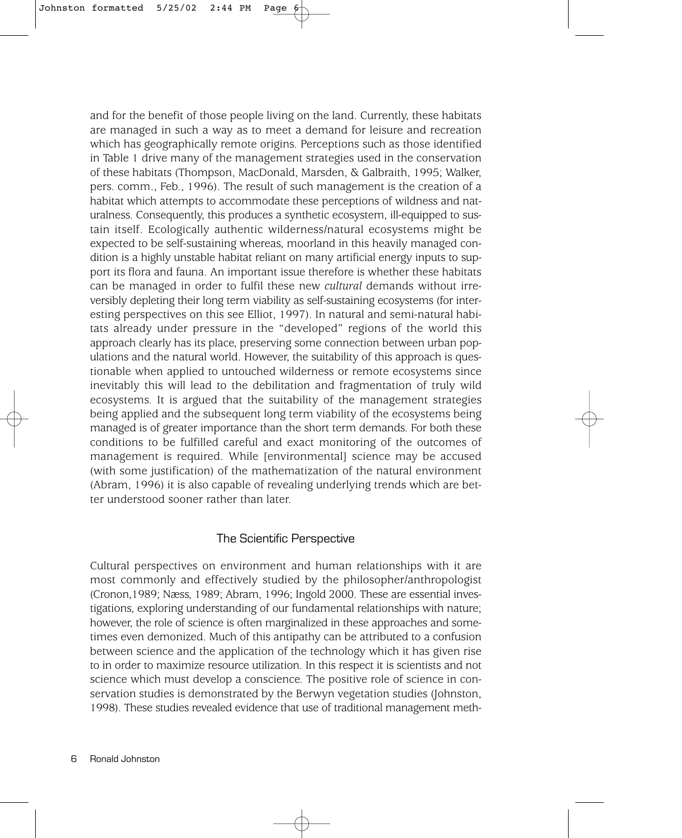and for the benefit of those people living on the land. Currently, these habitats are managed in such a way as to meet a demand for leisure and recreation which has geographically remote origins. Perceptions such as those identified in Table 1 drive many of the management strategies used in the conservation of these habitats (Thompson, MacDonald, Marsden, & Galbraith, 1995; Walker, pers. comm., Feb., 1996). The result of such management is the creation of a habitat which attempts to accommodate these perceptions of wildness and naturalness. Consequently, this produces a synthetic ecosystem, ill-equipped to sustain itself. Ecologically authentic wilderness/natural ecosystems might be expected to be self-sustaining whereas, moorland in this heavily managed condition is a highly unstable habitat reliant on many artificial energy inputs to support its flora and fauna. An important issue therefore is whether these habitats can be managed in order to fulfil these new *cultural* demands without irreversibly depleting their long term viability as self-sustaining ecosystems (for interesting perspectives on this see Elliot, 1997). In natural and semi-natural habitats already under pressure in the "developed" regions of the world this approach clearly has its place, preserving some connection between urban populations and the natural world. However, the suitability of this approach is questionable when applied to untouched wilderness or remote ecosystems since inevitably this will lead to the debilitation and fragmentation of truly wild ecosystems. It is argued that the suitability of the management strategies being applied and the subsequent long term viability of the ecosystems being managed is of greater importance than the short term demands. For both these conditions to be fulfilled careful and exact monitoring of the outcomes of management is required. While [environmental] science may be accused (with some justification) of the mathematization of the natural environment (Abram, 1996) it is also capable of revealing underlying trends which are better understood sooner rather than later.

## The Scientific Perspective

Cultural perspectives on environment and human relationships with it are most commonly and effectively studied by the philosopher/anthropologist (Cronon,1989; Næss, 1989; Abram, 1996; Ingold 2000. These are essential investigations, exploring understanding of our fundamental relationships with nature; however, the role of science is often marginalized in these approaches and sometimes even demonized. Much of this antipathy can be attributed to a confusion between science and the application of the technology which it has given rise to in order to maximize resource utilization. In this respect it is scientists and not science which must develop a conscience. The positive role of science in conservation studies is demonstrated by the Berwyn vegetation studies (Johnston, 1998). These studies revealed evidence that use of traditional management meth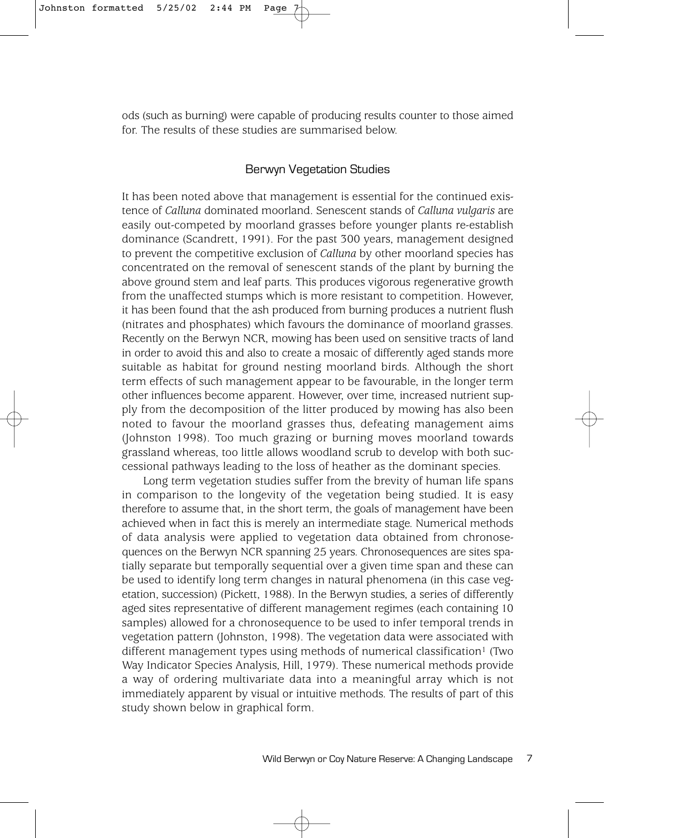ods (such as burning) were capable of producing results counter to those aimed for. The results of these studies are summarised below.

# Berwyn Vegetation Studies

It has been noted above that management is essential for the continued existence of *Calluna* dominated moorland. Senescent stands of *Calluna vulgaris* are easily out-competed by moorland grasses before younger plants re-establish dominance (Scandrett, 1991). For the past 300 years, management designed to prevent the competitive exclusion of *Calluna* by other moorland species has concentrated on the removal of senescent stands of the plant by burning the above ground stem and leaf parts. This produces vigorous regenerative growth from the unaffected stumps which is more resistant to competition. However, it has been found that the ash produced from burning produces a nutrient flush (nitrates and phosphates) which favours the dominance of moorland grasses. Recently on the Berwyn NCR, mowing has been used on sensitive tracts of land in order to avoid this and also to create a mosaic of differently aged stands more suitable as habitat for ground nesting moorland birds. Although the short term effects of such management appear to be favourable, in the longer term other influences become apparent. However, over time, increased nutrient supply from the decomposition of the litter produced by mowing has also been noted to favour the moorland grasses thus, defeating management aims (Johnston 1998). Too much grazing or burning moves moorland towards grassland whereas, too little allows woodland scrub to develop with both successional pathways leading to the loss of heather as the dominant species.

Long term vegetation studies suffer from the brevity of human life spans in comparison to the longevity of the vegetation being studied. It is easy therefore to assume that, in the short term, the goals of management have been achieved when in fact this is merely an intermediate stage. Numerical methods of data analysis were applied to vegetation data obtained from chronosequences on the Berwyn NCR spanning 25 years. Chronosequences are sites spatially separate but temporally sequential over a given time span and these can be used to identify long term changes in natural phenomena (in this case vegetation, succession) (Pickett, 1988). In the Berwyn studies, a series of differently aged sites representative of different management regimes (each containing 10 samples) allowed for a chronosequence to be used to infer temporal trends in vegetation pattern (Johnston, 1998). The vegetation data were associated with different management types using methods of numerical classification<sup>1</sup> (Two Way Indicator Species Analysis, Hill, 1979). These numerical methods provide a way of ordering multivariate data into a meaningful array which is not immediately apparent by visual or intuitive methods. The results of part of this study shown below in graphical form.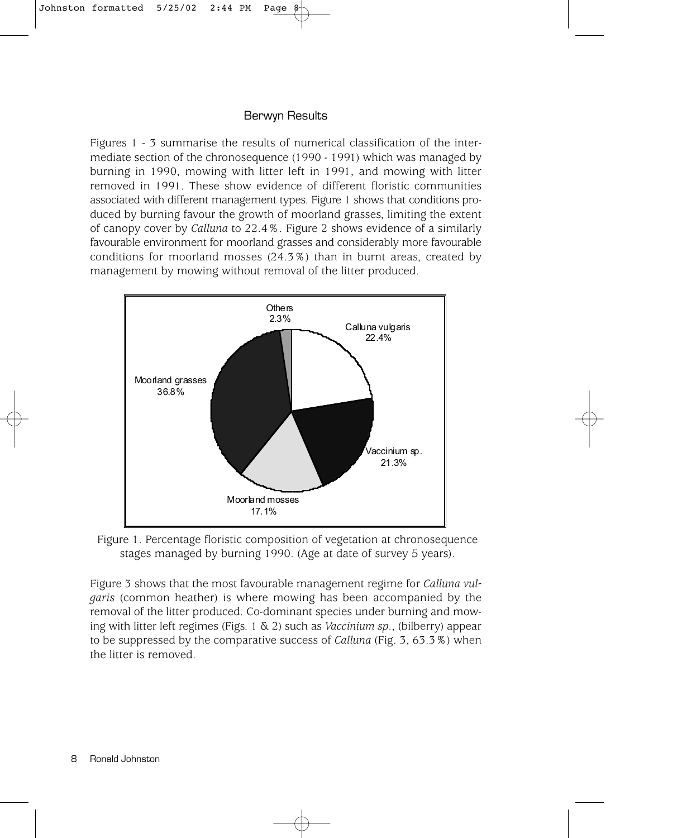## Berwyn Results

Figures 1 - 3 summarise the results of numerical classification of the intermediate section of the chronosequence (1990 - 1991) which was managed by burning in 1990, mowing with litter left in 1991, and mowing with litter removed in 1991. These show evidence of different floristic communities associated with different management types. Figure 1 shows that conditions produced by burning favour the growth of moorland grasses, limiting the extent of canopy cover by *Calluna* to 22.4%. Figure 2 shows evidence of a similarly favourable environment for moorland grasses and considerably more favourable conditions for moorland mosses (24.3%) than in burnt areas, created by management by mowing without removal of the litter produced.



Figure 1. Percentage floristic composition of vegetation at chronosequence stages managed by burning 1990. (Age at date of survey 5 years).

Figure 3 shows that the most favourable management regime for *Calluna vulgaris* (common heather) is where mowing has been accompanied by the removal of the litter produced. Co-dominant species under burning and mowing with litter left regimes (Figs. 1 & 2) such as *Vaccinium sp*., (bilberry) appear to be suppressed by the comparative success of *Calluna* (Fig. 3, 63.3%) when the litter is removed.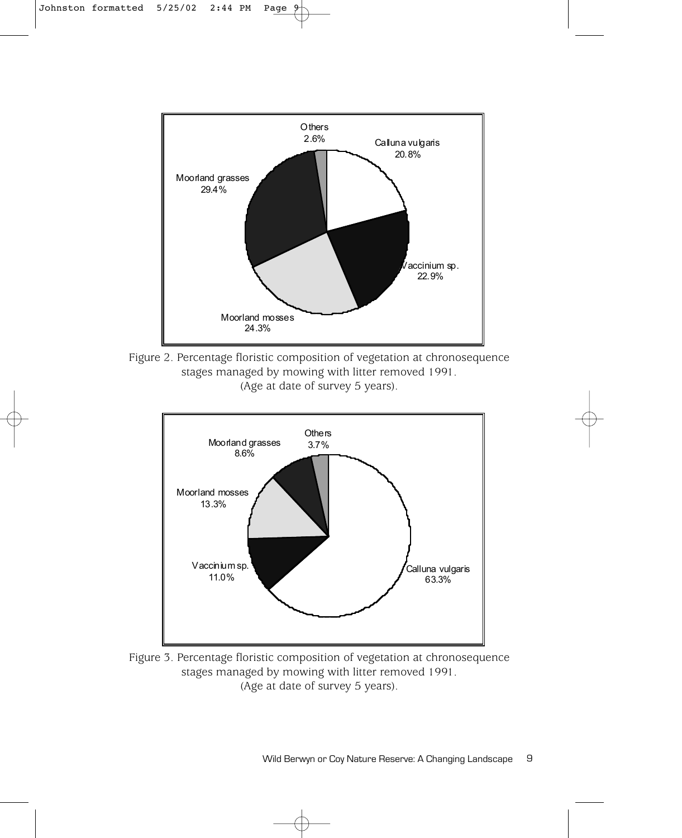

Figure 2. Percentage floristic composition of vegetation at chronosequence stages managed by mowing with litter removed 1991. (Age at date of survey 5 years).



Figure 3. Percentage floristic composition of vegetation at chronosequence stages managed by mowing with litter removed 1991. (Age at date of survey 5 years).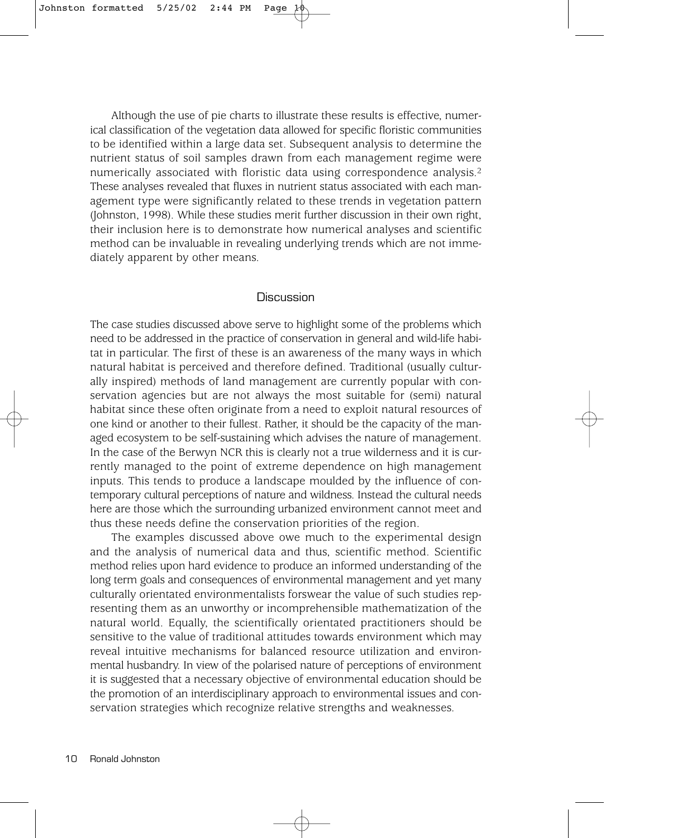Although the use of pie charts to illustrate these results is effective, numerical classification of the vegetation data allowed for specific floristic communities to be identified within a large data set. Subsequent analysis to determine the nutrient status of soil samples drawn from each management regime were numerically associated with floristic data using correspondence analysis.2 These analyses revealed that fluxes in nutrient status associated with each management type were significantly related to these trends in vegetation pattern (Johnston, 1998). While these studies merit further discussion in their own right, their inclusion here is to demonstrate how numerical analyses and scientific method can be invaluable in revealing underlying trends which are not immediately apparent by other means.

#### Discussion

The case studies discussed above serve to highlight some of the problems which need to be addressed in the practice of conservation in general and wild-life habitat in particular. The first of these is an awareness of the many ways in which natural habitat is perceived and therefore defined. Traditional (usually culturally inspired) methods of land management are currently popular with conservation agencies but are not always the most suitable for (semi) natural habitat since these often originate from a need to exploit natural resources of one kind or another to their fullest. Rather, it should be the capacity of the managed ecosystem to be self-sustaining which advises the nature of management. In the case of the Berwyn NCR this is clearly not a true wilderness and it is currently managed to the point of extreme dependence on high management inputs. This tends to produce a landscape moulded by the influence of contemporary cultural perceptions of nature and wildness. Instead the cultural needs here are those which the surrounding urbanized environment cannot meet and thus these needs define the conservation priorities of the region.

The examples discussed above owe much to the experimental design and the analysis of numerical data and thus, scientific method. Scientific method relies upon hard evidence to produce an informed understanding of the long term goals and consequences of environmental management and yet many culturally orientated environmentalists forswear the value of such studies representing them as an unworthy or incomprehensible mathematization of the natural world. Equally, the scientifically orientated practitioners should be sensitive to the value of traditional attitudes towards environment which may reveal intuitive mechanisms for balanced resource utilization and environmental husbandry. In view of the polarised nature of perceptions of environment it is suggested that a necessary objective of environmental education should be the promotion of an interdisciplinary approach to environmental issues and conservation strategies which recognize relative strengths and weaknesses.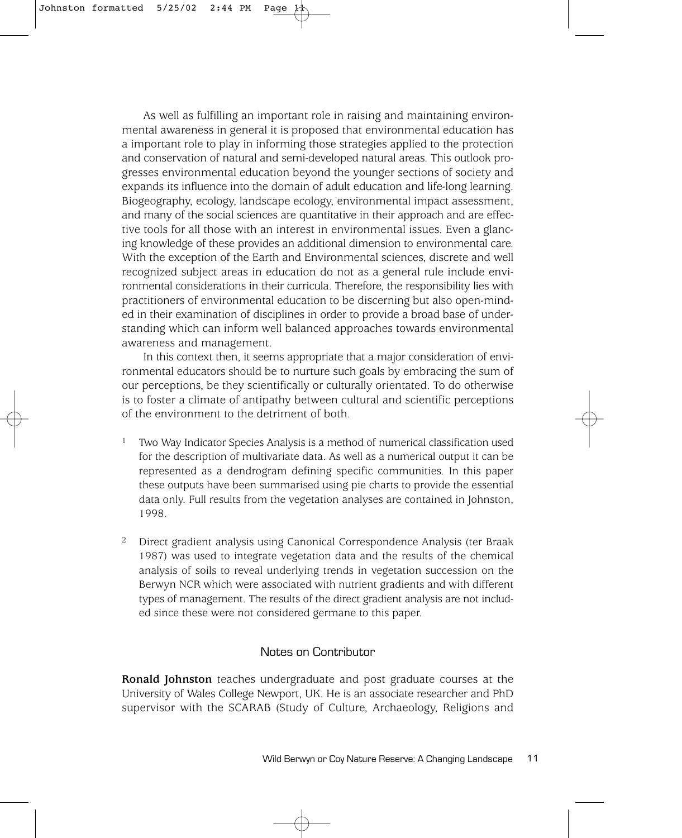As well as fulfilling an important role in raising and maintaining environmental awareness in general it is proposed that environmental education has a important role to play in informing those strategies applied to the protection and conservation of natural and semi-developed natural areas. This outlook progresses environmental education beyond the younger sections of society and expands its influence into the domain of adult education and life-long learning. Biogeography, ecology, landscape ecology, environmental impact assessment, and many of the social sciences are quantitative in their approach and are effective tools for all those with an interest in environmental issues. Even a glancing knowledge of these provides an additional dimension to environmental care. With the exception of the Earth and Environmental sciences, discrete and well recognized subject areas in education do not as a general rule include environmental considerations in their curricula. Therefore, the responsibility lies with practitioners of environmental education to be discerning but also open-minded in their examination of disciplines in order to provide a broad base of understanding which can inform well balanced approaches towards environmental awareness and management.

In this context then, it seems appropriate that a major consideration of environmental educators should be to nurture such goals by embracing the sum of our perceptions, be they scientifically or culturally orientated. To do otherwise is to foster a climate of antipathy between cultural and scientific perceptions of the environment to the detriment of both.

- 1 Two Way Indicator Species Analysis is a method of numerical classification used for the description of multivariate data. As well as a numerical output it can be represented as a dendrogram defining specific communities. In this paper these outputs have been summarised using pie charts to provide the essential data only. Full results from the vegetation analyses are contained in Johnston, 1998.
- 2 Direct gradient analysis using Canonical Correspondence Analysis (ter Braak 1987) was used to integrate vegetation data and the results of the chemical analysis of soils to reveal underlying trends in vegetation succession on the Berwyn NCR which were associated with nutrient gradients and with different types of management. The results of the direct gradient analysis are not included since these were not considered germane to this paper.

#### Notes on Contributor

**Ronald Johnston** teaches undergraduate and post graduate courses at the University of Wales College Newport, UK. He is an associate researcher and PhD supervisor with the SCARAB (Study of Culture, Archaeology, Religions and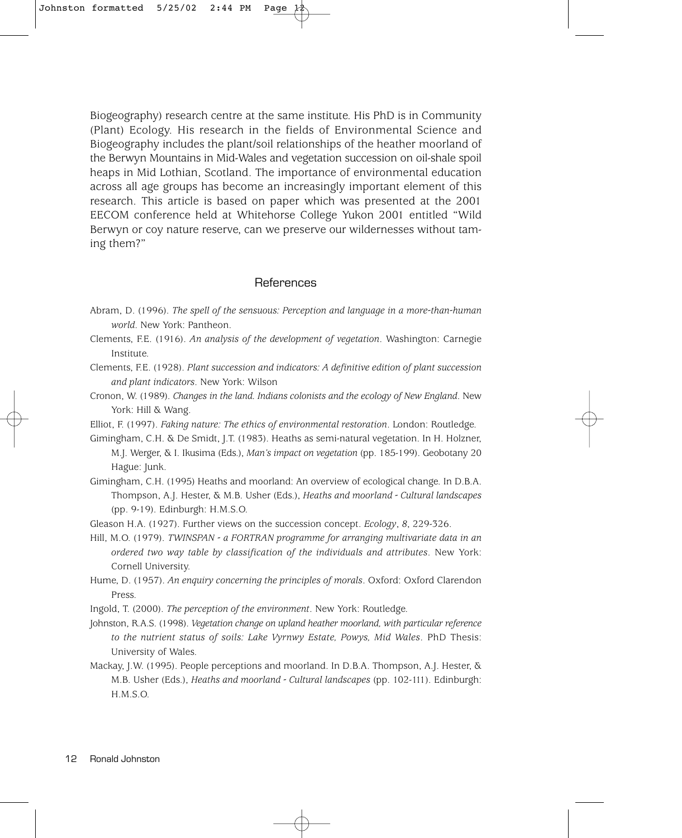Biogeography) research centre at the same institute. His PhD is in Community (Plant) Ecology. His research in the fields of Environmental Science and Biogeography includes the plant/soil relationships of the heather moorland of the Berwyn Mountains in Mid-Wales and vegetation succession on oil-shale spoil heaps in Mid Lothian, Scotland. The importance of environmental education across all age groups has become an increasingly important element of this research. This article is based on paper which was presented at the 2001 EECOM conference held at Whitehorse College Yukon 2001 entitled "Wild Berwyn or coy nature reserve, can we preserve our wildernesses without taming them?"

## References

- Abram, D. (1996). *The spell of the sensuous: Perception and language in a more-than-human world*. New York: Pantheon.
- Clements, F.E. (1916). *An analysis of the development of vegetation*. Washington: Carnegie Institute.
- Clements, F.E. (1928). *Plant succession and indicators: A definitive edition of plant succession and plant indicators*. New York: Wilson
- Cronon, W. (1989). *Changes in the land. Indians colonists and the ecology of New England*. New York: Hill & Wang.

Elliot, F. (1997). *Faking nature: The ethics of environmental restoration*. London: Routledge.

- Gimingham, C.H. & De Smidt, J.T. (1983). Heaths as semi-natural vegetation. In H. Holzner, M.J. Werger, & I. Ikusima (Eds.), *Man's impact on vegetation* (pp. 185-199). Geobotany 20 Hague: Junk.
- Gimingham, C.H. (1995) Heaths and moorland: An overview of ecological change. In D.B.A. Thompson, A.J. Hester, & M.B. Usher (Eds.), *Heaths and moorland - Cultural landscapes* (pp. 9-19). Edinburgh: H.M.S.O.

Gleason H.A. (1927). Further views on the succession concept. *Ecology*, *8*, 229-326.

- Hill, M.O. (1979). *TWINSPAN a FORTRAN programme for arranging multivariate data in an ordered two way table by classification of the individuals and attributes*. New York: Cornell University.
- Hume, D. (1957). *An enquiry concerning the principles of morals*. Oxford: Oxford Clarendon Press.

Ingold, T. (2000). *The perception of the environment*. New York: Routledge.

- Johnston, R.A.S. (1998). *Vegetation change on upland heather moorland, with particular reference to the nutrient status of soils: Lake Vyrnwy Estate, Powys, Mid Wales*. PhD Thesis: University of Wales.
- Mackay, J.W. (1995). People perceptions and moorland. In D.B.A. Thompson, A.J. Hester, & M.B. Usher (Eds.), *Heaths and moorland - Cultural landscapes* (pp. 102-111). Edinburgh: H.M.S.O.